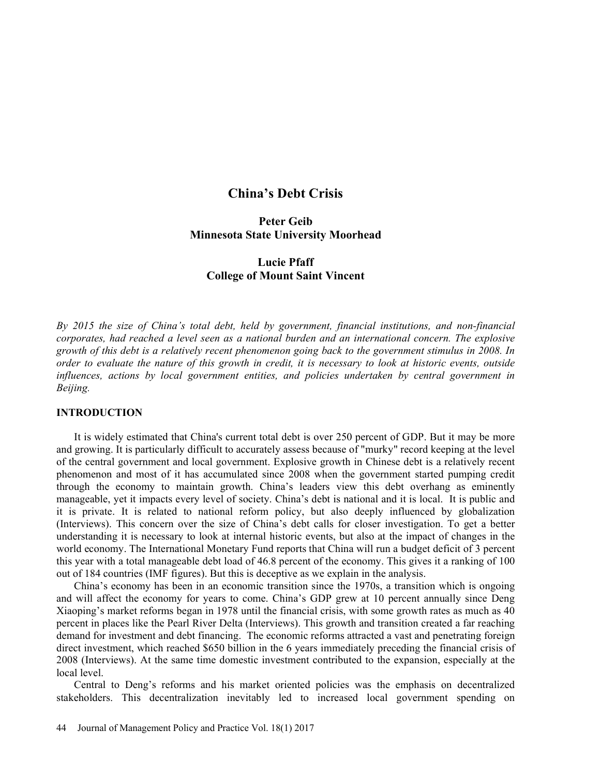# China's Debt Crisis

## Peter Geib Minnesota State University Moorhead

# Lucie Pfaff College of Mount Saint Vincent

By 2015 the size of China's total debt, held by government, financial institutions, and non-financial corporates, had reached a level seen as a national burden and an international concern. The explosive growth of this debt is a relatively recent phenomenon going back to the government stimulus in 2008. In order to evaluate the nature of this growth in credit, it is necessary to look at historic events, outside influences, actions by local government entities, and policies undertaken by central government in Beijing.

# **INTRODUCTION**

 It is widely estimated that China's current total debt is over 250 percent of GDP. But it may be more and growing. It is particularly difficult to accurately assess because of "murky" record keeping at the level of the central government and local government. Explosive growth in Chinese debt is a relatively recent phenomenon and most of it has accumulated since 2008 when the government started pumping credit through the economy to maintain growth. China's leaders view this debt overhang as eminently manageable, yet it impacts every level of society. China's debt is national and it is local. It is public and it is private. It is related to national reform policy, but also deeply influenced by globalization (Interviews). This concern over the size of China's debt calls for closer investigation. To get a better understanding it is necessary to look at internal historic events, but also at the impact of changes in the world economy. The International Monetary Fund reports that China will run a budget deficit of 3 percent this year with a total manageable debt load of 46.8 percent of the economy. This gives it a ranking of 100 out of 184 countries (IMF figures). But this is deceptive as we explain in the analysis.

China's economy has been in an economic transition since the 1970s, a transition which is ongoing and will affect the economy for years to come. China's GDP grew at 10 percent annually since Deng Xiaoping's market reforms began in 1978 until the financial crisis, with some growth rates as much as 40 percent in places like the Pearl River Delta (Interviews). This growth and transition created a far reaching demand for investment and debt financing. The economic reforms attracted a vast and penetrating foreign direct investment, which reached \$650 billion in the 6 years immediately preceding the financial crisis of 2008 (Interviews). At the same time domestic investment contributed to the expansion, especially at the local level.

Central to Deng's reforms and his market oriented policies was the emphasis on decentralized stakeholders. This decentralization inevitably led to increased local government spending on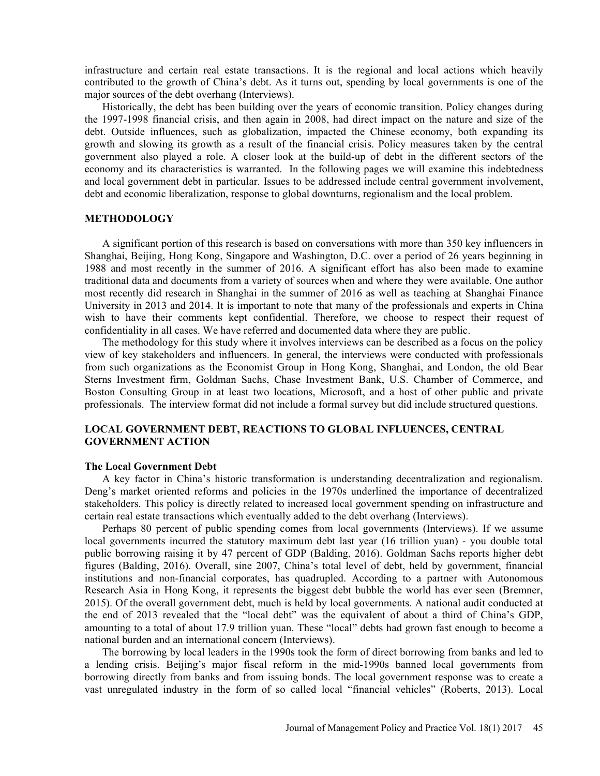infrastructure and certain real estate transactions. It is the regional and local actions which heavily contributed to the growth of China's debt. As it turns out, spending by local governments is one of the major sources of the debt overhang (Interviews).

 Historically, the debt has been building over the years of economic transition. Policy changes during the 1997-1998 financial crisis, and then again in 2008, had direct impact on the nature and size of the debt. Outside influences, such as globalization, impacted the Chinese economy, both expanding its growth and slowing its growth as a result of the financial crisis. Policy measures taken by the central government also played a role. A closer look at the build-up of debt in the different sectors of the economy and its characteristics is warranted. In the following pages we will examine this indebtedness and local government debt in particular. Issues to be addressed include central government involvement, debt and economic liberalization, response to global downturns, regionalism and the local problem.

## **METHODOLOGY**

 A significant portion of this research is based on conversations with more than 350 key influencers in Shanghai, Beijing, Hong Kong, Singapore and Washington, D.C. over a period of 26 years beginning in 1988 and most recently in the summer of 2016. A significant effort has also been made to examine traditional data and documents from a variety of sources when and where they were available. One author most recently did research in Shanghai in the summer of 2016 as well as teaching at Shanghai Finance University in 2013 and 2014. It is important to note that many of the professionals and experts in China wish to have their comments kept confidential. Therefore, we choose to respect their request of confidentiality in all cases. We have referred and documented data where they are public.

 The methodology for this study where it involves interviews can be described as a focus on the policy view of key stakeholders and influencers. In general, the interviews were conducted with professionals from such organizations as the Economist Group in Hong Kong, Shanghai, and London, the old Bear Sterns Investment firm, Goldman Sachs, Chase Investment Bank, U.S. Chamber of Commerce, and Boston Consulting Group in at least two locations, Microsoft, and a host of other public and private professionals. The interview format did not include a formal survey but did include structured questions.

## LOCAL GOVERNMENT DEBT, REACTIONS TO GLOBAL INFLUENCES, CENTRAL GOVERNMENT ACTION

#### The Local Government Debt

A key factor in China's historic transformation is understanding decentralization and regionalism. Deng's market oriented reforms and policies in the 1970s underlined the importance of decentralized stakeholders. This policy is directly related to increased local government spending on infrastructure and certain real estate transactions which eventually added to the debt overhang (Interviews).

 Perhaps 80 percent of public spending comes from local governments (Interviews). If we assume local governments incurred the statutory maximum debt last year (16 trillion yuan) - you double total public borrowing raising it by 47 percent of GDP (Balding, 2016). Goldman Sachs reports higher debt figures (Balding, 2016). Overall, sine 2007, China's total level of debt, held by government, financial institutions and non-financial corporates, has quadrupled. According to a partner with Autonomous Research Asia in Hong Kong, it represents the biggest debt bubble the world has ever seen (Bremner, 2015). Of the overall government debt, much is held by local governments. A national audit conducted at the end of 2013 revealed that the "local debt" was the equivalent of about a third of China's GDP, amounting to a total of about 17.9 trillion yuan. These "local" debts had grown fast enough to become a national burden and an international concern (Interviews).

 The borrowing by local leaders in the 1990s took the form of direct borrowing from banks and led to a lending crisis. Beijing's major fiscal reform in the mid-1990s banned local governments from borrowing directly from banks and from issuing bonds. The local government response was to create a vast unregulated industry in the form of so called local "financial vehicles" (Roberts, 2013). Local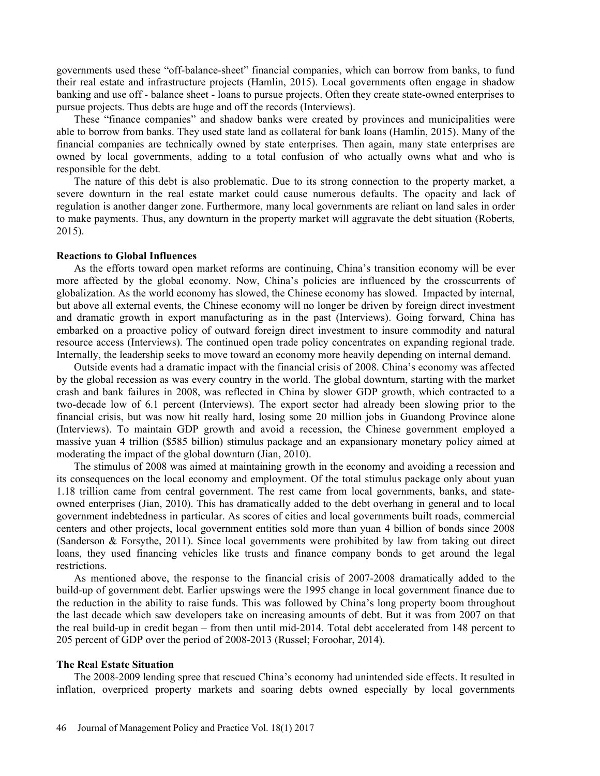governments used these "off-balance-sheet" financial companies, which can borrow from banks, to fund their real estate and infrastructure projects (Hamlin, 2015). Local governments often engage in shadow banking and use off - balance sheet - loans to pursue projects. Often they create state-owned enterprises to pursue projects. Thus debts are huge and off the records (Interviews).

These "finance companies" and shadow banks were created by provinces and municipalities were able to borrow from banks. They used state land as collateral for bank loans (Hamlin, 2015). Many of the financial companies are technically owned by state enterprises. Then again, many state enterprises are owned by local governments, adding to a total confusion of who actually owns what and who is responsible for the debt.

 The nature of this debt is also problematic. Due to its strong connection to the property market, a severe downturn in the real estate market could cause numerous defaults. The opacity and lack of regulation is another danger zone. Furthermore, many local governments are reliant on land sales in order to make payments. Thus, any downturn in the property market will aggravate the debt situation (Roberts, 2015).

### Reactions to Global Influences

As the efforts toward open market reforms are continuing, China's transition economy will be ever more affected by the global economy. Now, China's policies are influenced by the crosscurrents of globalization. As the world economy has slowed, the Chinese economy has slowed. Impacted by internal, but above all external events, the Chinese economy will no longer be driven by foreign direct investment and dramatic growth in export manufacturing as in the past (Interviews). Going forward, China has embarked on a proactive policy of outward foreign direct investment to insure commodity and natural resource access (Interviews). The continued open trade policy concentrates on expanding regional trade. Internally, the leadership seeks to move toward an economy more heavily depending on internal demand.

Outside events had a dramatic impact with the financial crisis of 2008. China's economy was affected by the global recession as was every country in the world. The global downturn, starting with the market crash and bank failures in 2008, was reflected in China by slower GDP growth, which contracted to a two-decade low of 6.1 percent (Interviews). The export sector had already been slowing prior to the financial crisis, but was now hit really hard, losing some 20 million jobs in Guandong Province alone (Interviews). To maintain GDP growth and avoid a recession, the Chinese government employed a massive yuan 4 trillion (\$585 billion) stimulus package and an expansionary monetary policy aimed at moderating the impact of the global downturn (Jian, 2010).

 The stimulus of 2008 was aimed at maintaining growth in the economy and avoiding a recession and its consequences on the local economy and employment. Of the total stimulus package only about yuan 1.18 trillion came from central government. The rest came from local governments, banks, and stateowned enterprises (Jian, 2010). This has dramatically added to the debt overhang in general and to local government indebtedness in particular. As scores of cities and local governments built roads, commercial centers and other projects, local government entities sold more than yuan 4 billion of bonds since 2008 (Sanderson & Forsythe, 2011). Since local governments were prohibited by law from taking out direct loans, they used financing vehicles like trusts and finance company bonds to get around the legal restrictions.

 As mentioned above, the response to the financial crisis of 2007-2008 dramatically added to the build-up of government debt. Earlier upswings were the 1995 change in local government finance due to the reduction in the ability to raise funds. This was followed by China's long property boom throughout the last decade which saw developers take on increasing amounts of debt. But it was from 2007 on that the real build-up in credit began  $-$  from then until mid-2014. Total debt accelerated from 148 percent to 205 percent of GDP over the period of 2008-2013 (Russel; Foroohar, 2014).

#### The Real Estate Situation

The 2008-2009 lending spree that rescued China's economy had unintended side effects. It resulted in inflation, overpriced property markets and soaring debts owned especially by local governments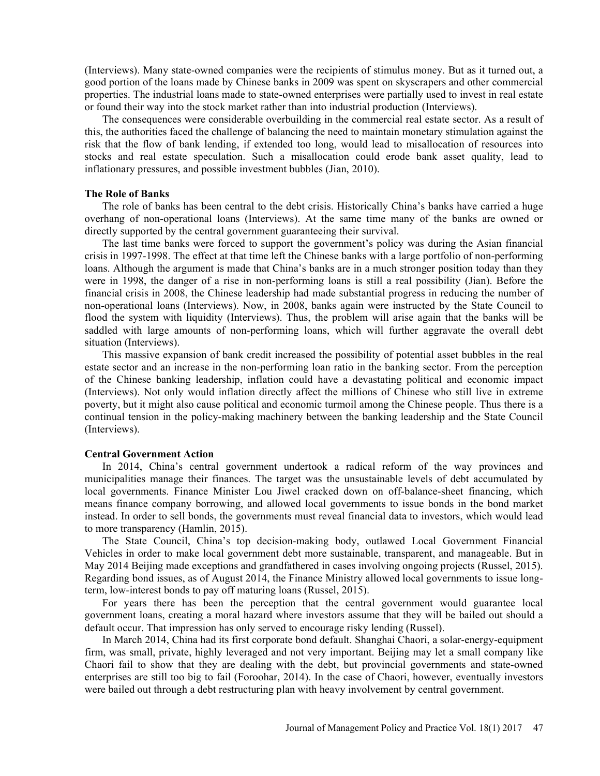(Interviews). Many state-owned companies were the recipients of stimulus money. But as it turned out, a good portion of the loans made by Chinese banks in 2009 was spent on skyscrapers and other commercial properties. The industrial loans made to state-owned enterprises were partially used to invest in real estate or found their way into the stock market rather than into industrial production (Interviews).

 The consequences were considerable overbuilding in the commercial real estate sector. As a result of this, the authorities faced the challenge of balancing the need to maintain monetary stimulation against the risk that the flow of bank lending, if extended too long, would lead to misallocation of resources into stocks and real estate speculation. Such a misallocation could erode bank asset quality, lead to inflationary pressures, and possible investment bubbles (Jian, 2010).

#### The Role of Banks

The role of banks has been central to the debt crisis. Historically China's banks have carried a huge overhang of non-operational loans (Interviews). At the same time many of the banks are owned or directly supported by the central government guaranteeing their survival.

The last time banks were forced to support the government's policy was during the Asian financial crisis in 1997-1998. The effect at that time left the Chinese banks with a large portfolio of non-performing loans. Although the argument is made that China's banks are in a much stronger position today than they were in 1998, the danger of a rise in non-performing loans is still a real possibility (Jian). Before the financial crisis in 2008, the Chinese leadership had made substantial progress in reducing the number of non-operational loans (Interviews). Now, in 2008, banks again were instructed by the State Council to flood the system with liquidity (Interviews). Thus, the problem will arise again that the banks will be saddled with large amounts of non-performing loans, which will further aggravate the overall debt situation (Interviews).

 This massive expansion of bank credit increased the possibility of potential asset bubbles in the real estate sector and an increase in the non-performing loan ratio in the banking sector. From the perception of the Chinese banking leadership, inflation could have a devastating political and economic impact (Interviews). Not only would inflation directly affect the millions of Chinese who still live in extreme poverty, but it might also cause political and economic turmoil among the Chinese people. Thus there is a continual tension in the policy-making machinery between the banking leadership and the State Council (Interviews).

### Central Government Action

In 2014, China's central government undertook a radical reform of the way provinces and municipalities manage their finances. The target was the unsustainable levels of debt accumulated by local governments. Finance Minister Lou Jiwel cracked down on off-balance-sheet financing, which means finance company borrowing, and allowed local governments to issue bonds in the bond market instead. In order to sell bonds, the governments must reveal financial data to investors, which would lead to more transparency (Hamlin, 2015).

The State Council, China's top decision-making body, outlawed Local Government Financial Vehicles in order to make local government debt more sustainable, transparent, and manageable. But in May 2014 Beijing made exceptions and grandfathered in cases involving ongoing projects (Russel, 2015). Regarding bond issues, as of August 2014, the Finance Ministry allowed local governments to issue longterm, low-interest bonds to pay off maturing loans (Russel, 2015).

 For years there has been the perception that the central government would guarantee local government loans, creating a moral hazard where investors assume that they will be bailed out should a default occur. That impression has only served to encourage risky lending (Russel).

 In March 2014, China had its first corporate bond default. Shanghai Chaori, a solar-energy-equipment firm, was small, private, highly leveraged and not very important. Beijing may let a small company like Chaori fail to show that they are dealing with the debt, but provincial governments and state-owned enterprises are still too big to fail (Foroohar, 2014). In the case of Chaori, however, eventually investors were bailed out through a debt restructuring plan with heavy involvement by central government.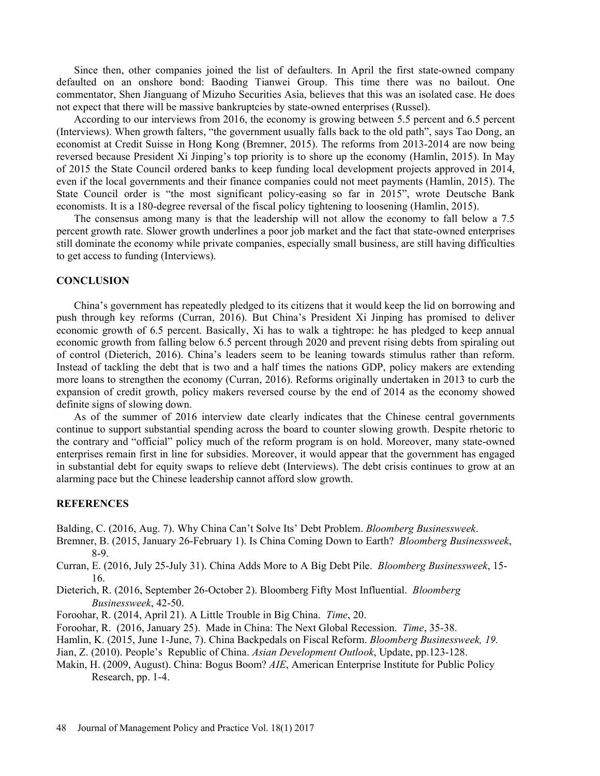Since then, other companies joined the list of defaulters. In April the first state-owned company defaulted on an onshore bond: Baoding Tianwei Group. This time there was no bailout. One commentator, Shen Jianguang of Mizuho Securities Asia, believes that this was an isolated case. He does not expect that there will be massive bankruptcies by state-owned enterprises (Russel).

 According to our interviews from 2016, the economy is growing between 5.5 percent and 6.5 percent (Interviews). When growth falters, "the government usually falls back to the old path", says Tao Dong, an economist at Credit Suisse in Hong Kong (Bremner, 2015). The reforms from 2013-2014 are now being reversed because President Xi Jinping's top priority is to shore up the economy (Hamlin, 2015). In May of 2015 the State Council ordered banks to keep funding local development projects approved in 2014, even if the local governments and their finance companies could not meet payments (Hamlin, 2015). The State Council order is "the most significant policy-easing so far in 2015", wrote Deutsche Bank economists. It is a 180-degree reversal of the fiscal policy tightening to loosening (Hamlin, 2015).

 The consensus among many is that the leadership will not allow the economy to fall below a 7.5 percent growth rate. Slower growth underlines a poor job market and the fact that state-owned enterprises still dominate the economy while private companies, especially small business, are still having difficulties to get access to funding (Interviews).

## **CONCLUSION**

China's government has repeatedly pledged to its citizens that it would keep the lid on borrowing and push through key reforms (Curran, 2016). But China's President Xi Jinping has promised to deliver economic growth of 6.5 percent. Basically, Xi has to walk a tightrope: he has pledged to keep annual economic growth from falling below 6.5 percent through 2020 and prevent rising debts from spiraling out of control (Dieterich, 2016). China's leaders seem to be leaning towards stimulus rather than reform. Instead of tackling the debt that is two and a half times the nations GDP, policy makers are extending more loans to strengthen the economy (Curran, 2016). Reforms originally undertaken in 2013 to curb the expansion of credit growth, policy makers reversed course by the end of 2014 as the economy showed definite signs of slowing down.

 As of the summer of 2016 interview date clearly indicates that the Chinese central governments continue to support substantial spending across the board to counter slowing growth. Despite rhetoric to the contrary and "official" policy much of the reform program is on hold. Moreover, many state-owned enterprises remain first in line for subsidies. Moreover, it would appear that the government has engaged in substantial debt for equity swaps to relieve debt (Interviews). The debt crisis continues to grow at an alarming pace but the Chinese leadership cannot afford slow growth.

### **REFERENCES**

- Balding, C. (2016, Aug. 7). Why China Can't Solve Its' Debt Problem. *Bloomberg Businessweek*. Bremner, B. (2015, January 26-February 1). Is China Coming Down to Earth? *Bloomberg Businessweek*, 8-9.
- Curran, E. (2016, July 25-July 31). China Adds More to A Big Debt Pile. Bloomberg Businessweek, 15- 16.
- Dieterich, R. (2016, September 26-October 2). Bloomberg Fifty Most Influential. Bloomberg Businessweek, 42-50.
- Foroohar, R. (2014, April 21). A Little Trouble in Big China. Time, 20.
- Foroohar, R. (2016, January 25). Made in China: The Next Global Recession. Time, 35-38.
- Hamlin, K. (2015, June 1-June, 7). China Backpedals on Fiscal Reform. Bloomberg Businessweek, 19.
- Jian, Z. (2010). People's Republic of China. Asian Development Outlook, Update, pp.123-128.
- Makin, H. (2009, August). China: Bogus Boom? AIE, American Enterprise Institute for Public Policy Research, pp. 1-4.